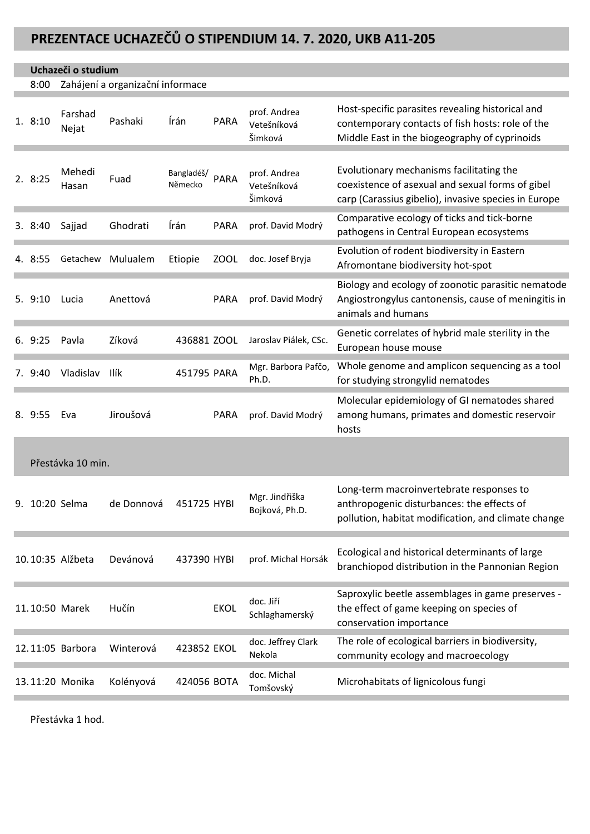## **PREZENTACE UCHAZEČŮ O STIPENDIUM 14. 7. 2020, UKB A11-205**

## **Uchazeči o studium**

8:00 Zahájení a organizační informace

| 1.8:10         | Farshad<br>Nejat  | Pashaki    | Írán                  | <b>PARA</b> | prof. Andrea<br>Vetešníková<br>Šimková | Host-specific parasites revealing historical and<br>contemporary contacts of fish hosts: role of the<br>Middle East in the biogeography of cyprinoids |
|----------------|-------------------|------------|-----------------------|-------------|----------------------------------------|-------------------------------------------------------------------------------------------------------------------------------------------------------|
| 2. 8:25        | Mehedi<br>Hasan   | Fuad       | Bangladéš/<br>Německo | PARA        | prof. Andrea<br>Vetešníková<br>Šimková | Evolutionary mechanisms facilitating the<br>coexistence of asexual and sexual forms of gibel<br>carp (Carassius gibelio), invasive species in Europe  |
| 3.8:40         | Sajjad            | Ghodrati   | Írán                  | <b>PARA</b> | prof. David Modrý                      | Comparative ecology of ticks and tick-borne<br>pathogens in Central European ecosystems                                                               |
| 4. 8:55        | Getachew          | Mulualem   | Etiopie               | <b>ZOOL</b> | doc. Josef Bryja                       | Evolution of rodent biodiversity in Eastern<br>Afromontane biodiversity hot-spot                                                                      |
| 5.9:10         | Lucia             | Anettová   |                       | <b>PARA</b> | prof. David Modrý                      | Biology and ecology of zoonotic parasitic nematode<br>Angiostrongylus cantonensis, cause of meningitis in<br>animals and humans                       |
| 6.9:25         | Pavla             | Zíková     | 436881 ZOOL           |             | Jaroslav Piálek, CSc.                  | Genetic correlates of hybrid male sterility in the<br>European house mouse                                                                            |
| 7. 9:40        | Vladislav         | Ilík       | 451795 PARA           |             | Mgr. Barbora Pafčo,<br>Ph.D.           | Whole genome and amplicon sequencing as a tool<br>for studying strongylid nematodes                                                                   |
| 8. 9:55        | Eva               | Jiroušová  |                       | <b>PARA</b> | prof. David Modrý                      | Molecular epidemiology of GI nematodes shared<br>among humans, primates and domestic reservoir<br>hosts                                               |
|                | Přestávka 10 min. |            |                       |             |                                        |                                                                                                                                                       |
| 9. 10:20 Selma |                   | de Donnová | 451725 HYBI           |             | Mgr. Jindřiška<br>Bojková, Ph.D.       | Long-term macroinvertebrate responses to<br>anthropogenic disturbances: the effects of<br>pollution, habitat modification, and climate change         |
|                | 10.10:35 Alžbeta  | Devánová   | 437390 HYBI           |             | prof. Michal Horsák                    | Ecological and historical determinants of large<br>branchiopod distribution in the Pannonian Region                                                   |
|                | 11.10:50 Marek    | Hučín      |                       | <b>EKOL</b> | doc. Jiří<br>Schlaghamerský            | Saproxylic beetle assemblages in game preserves -<br>the effect of game keeping on species of<br>conservation importance                              |
|                | 12.11:05 Barbora  | Winterová  | 423852 EKOL           |             | doc. Jeffrey Clark<br>Nekola           | The role of ecological barriers in biodiversity,<br>community ecology and macroecology                                                                |
|                | 13.11:20 Monika   | Kolényová  | 424056 BOTA           |             | doc. Michal<br>Tomšovský               | Microhabitats of lignicolous fungi                                                                                                                    |

Přestávka 1 hod.